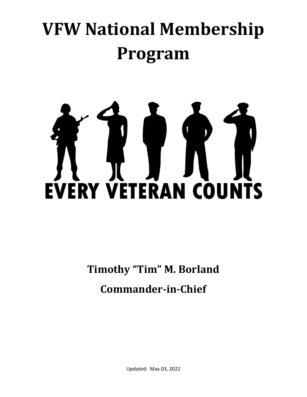# **VFW National Membership Program**



**Timothy "Tim" M. Borland Commander-in-Chief**

Updated: May 03, 2022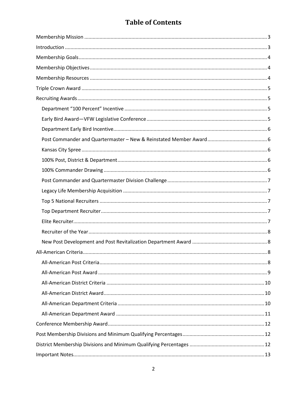# **Table of Contents**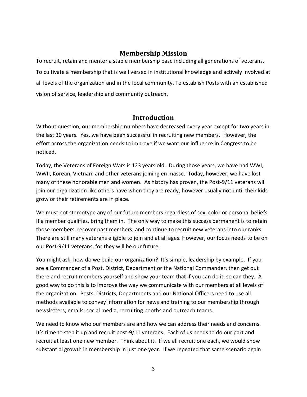# **Membership Mission**

<span id="page-2-0"></span>To recruit, retain and mentor a stable membership base including all generations of veterans. To cultivate a membership that is well versed in institutional knowledge and actively involved at all levels of the organization and in the local community. To establish Posts with an established vision of service, leadership and community outreach.

# **Introduction**

<span id="page-2-1"></span>Without question, our membership numbers have decreased every year except for two years in the last 30 years. Yes, we have been successful in recruiting new members. However, the effort across the organization needs to improve if we want our influence in Congress to be noticed.

Today, the Veterans of Foreign Wars is 123 years old. During those years, we have had WWI, WWII, Korean, Vietnam and other veterans joining en masse. Today, however, we have lost many of these honorable men and women. As history has proven, the Post-9/11 veterans will join our organization like others have when they are ready, however usually not until their kids grow or their retirements are in place.

We must not stereotype any of our future members regardless of sex, color or personal beliefs. If a member qualifies, bring them in. The only way to make this success permanent is to retain those members, recover past members, and continue to recruit new veterans into our ranks. There are still many veterans eligible to join and at all ages. However, our focus needs to be on our Post-9/11 veterans, for they will be our future.

You might ask, how do we build our organization? It's simple, leadership by example. If you are a Commander of a Post, District, Department or the National Commander, then get out there and recruit members yourself and show your team that if you can do it, so can they. A good way to do this is to improve the way we communicate with our members at all levels of the organization. Posts, Districts, Departments and our National Officers need to use all methods available to convey information for news and training to our membership through newsletters, emails, social media, recruiting booths and outreach teams.

We need to know who our members are and how we can address their needs and concerns. It's time to step it up and recruit post-9/11 veterans. Each of us needs to do our part and recruit at least one new member. Think about it. If we all recruit one each, we would show substantial growth in membership in just one year. If we repeated that same scenario again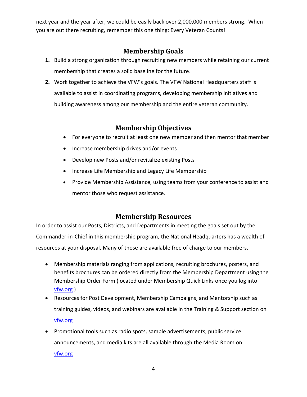next year and the year after, we could be easily back over 2,000,000 members strong. When you are out there recruiting, remember this one thing: Every Veteran Counts!

# **Membership Goals**

- <span id="page-3-0"></span>**1.** Build a strong organization through recruiting new members while retaining our current membership that creates a solid baseline for the future.
- **2.** Work together to achieve the VFW's goals. The VFW National Headquarters staff is available to assist in coordinating programs, developing membership initiatives and building awareness among our membership and the entire veteran community.

# **Membership Objectives**

- <span id="page-3-1"></span>• For everyone to recruit at least one new member and then mentor that member
- Increase membership drives and/or events
- Develop new Posts and/or revitalize existing Posts
- Increase Life Membership and Legacy Life Membership
- Provide Membership Assistance, using teams from your conference to assist and mentor those who request assistance.

# **Membership Resources**

<span id="page-3-2"></span>In order to assist our Posts, Districts, and Departments in meeting the goals set out by the Commander-in-Chief in this membership program, the National Headquarters has a wealth of resources at your disposal. Many of those are available free of charge to our members.

- Membership materials ranging from applications, recruiting brochures, posters, and benefits brochures can be ordered directly from the Membership Department using the Membership Order Form (located under Membership Quick Links once you log into [vfw.org](http://www.vfw.org/) )
- Resources for Post Development, Membership Campaigns, and Mentorship such as training guides, videos, and webinars are available in the Training & Support section on [vfw.org](http://www.vfw.org/)
- Promotional tools such as radio spots, sample advertisements, public service announcements, and media kits are all available through the Media Room on [vfw.org](http://www.vfw.org/)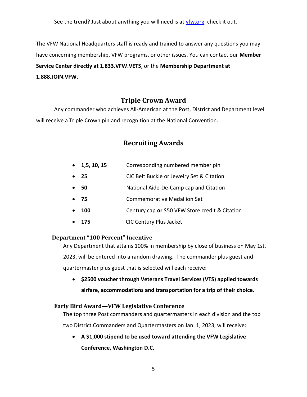See the trend? Just about anything you will need is at [vfw.org,](http://www.vfw.org/) check it out.

The VFW National Headquarters staff is ready and trained to answer any questions you may have concerning membership, VFW programs, or other issues. You can contact our **Member Service Center directly at 1.833.VFW.VETS**, or the **Membership Department at 1.888.JOIN.VFW.** 

# **Triple Crown Award**

<span id="page-4-1"></span><span id="page-4-0"></span>Any commander who achieves All-American at the Post, District and Department level will receive a Triple Crown pin and recognition at the National Convention.

# **Recruiting Awards**

- **1,5, 10, 15** Corresponding numbered member pin
- **25** CIC Belt Buckle or Jewelry Set & Citation
- **50** National Aide-De-Camp cap and Citation
- **75** Commemorative Medallion Set
- **100** Century cap **or** \$50 VFW Store credit & Citation
- **175** CIC Century Plus Jacket

## <span id="page-4-2"></span> **Department "100 Percent" Incentive**

Any Department that attains 100% in membership by close of business on May 1st, 2023, will be entered into a random drawing. The commander plus guest and quartermaster plus guest that is selected will each receive:

• **\$2500 voucher through Veterans Travel Services (VTS) applied towards airfare, accommodations and transportation for a trip of their choice.** 

## <span id="page-4-3"></span>**Early Bird Award—VFW Legislative Conference**

The top three Post commanders and quartermasters in each division and the top two District Commanders and Quartermasters on Jan. 1, 2023, will receive:

• **A \$1,000 stipend to be used toward attending the VFW Legislative Conference, Washington D.C.**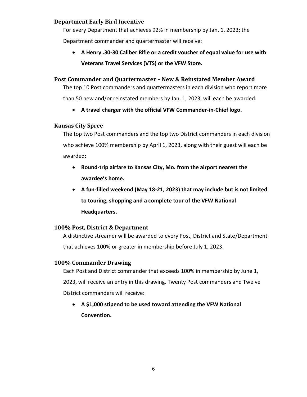# <span id="page-5-0"></span>**Department Early Bird Incentive**

For every Department that achieves 92% in membership by Jan. 1, 2023; the Department commander and quartermaster will receive:

• **A Henry .30-30 Caliber Rifle or a credit voucher of equal value for use with Veterans Travel Services (VTS) or the VFW Store.**

## <span id="page-5-1"></span>**Post Commander and Quartermaster – New & Reinstated Member Award**

The top 10 Post commanders and quartermasters in each division who report more than 50 new and/or reinstated members by Jan. 1, 2023, will each be awarded:

• **A travel charger with the official VFW Commander-in-Chief logo.**

## <span id="page-5-2"></span>**Kansas City Spree**

The top two Post commanders and the top two District commanders in each division who achieve 100% membership by April 1, 2023, along with their guest will each be awarded:

- **Round-trip airfare to Kansas City, Mo. from the airport nearest the awardee's home.**
- **A fun-filled weekend (May 18-21, 2023) that may include but is not limited to touring, shopping and a complete tour of the VFW National Headquarters.**

# <span id="page-5-3"></span>**100% Post, District & Department**

A distinctive streamer will be awarded to every Post, District and State/Department that achieves 100% or greater in membership before July 1, 2023.

## <span id="page-5-4"></span>**100% Commander Drawing**

Each Post and District commander that exceeds 100% in membership by June 1, 2023, will receive an entry in this drawing. Twenty Post commanders and Twelve District commanders will receive:

• **A \$1,000 stipend to be used toward attending the VFW National Convention.**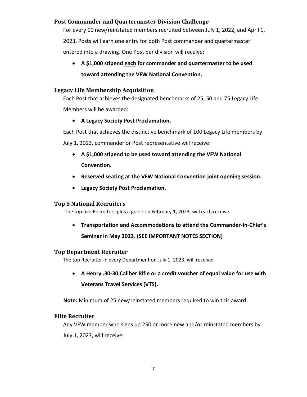# <span id="page-6-0"></span>**Post Commander and Quartermaster Division Challenge**

For every 10 new/reinstated members recruited between July 1, 2022, and April 1, 2023, Posts will earn one entry for both Post commander and quartermaster entered into a drawing. One Post per division will receive:

• **A \$1,000 stipend each for commander and quartermaster to be used toward attending the VFW National Convention.**

#### <span id="page-6-1"></span>**Legacy Life Membership Acquisition**

Each Post that achieves the designated benchmarks of 25, 50 and 75 Legacy Life Members will be awarded:

#### • **A Legacy Society Post Proclamation.**

Each Post that achieves the distinctive benchmark of 100 Legacy Life members by July 1, 2023, commander or Post representative will receive:

- **A \$1,000 stipend to be used toward attending the VFW National Convention.**
- **Reserved seating at the VFW National Convention joint opening session.**
- **Legacy Society Post Proclamation.**

## <span id="page-6-2"></span>**Top 5 National Recruiters**

The top five Recruiters plus a guest on February 1, 2023, will each receive:

• **Transportation and Accommodations to attend the Commander-in-Chief's Seminar in May 2023. (SEE IMPORTANT NOTES SECTION)**

#### <span id="page-6-3"></span>**Top Department Recruiter**

The top Recruiter in every Department on July 1, 2023, will receive:

• **A Henry .30-30 Caliber Rifle or a credit voucher of equal value for use with Veterans Travel Services (VTS).**

 **Note:** Minimum of 25 new/reinstated members required to win this award.

#### <span id="page-6-4"></span>**Elite Recruiter**

Any VFW member who signs up 250 or more new and/or reinstated members by July 1, 2023, will receive: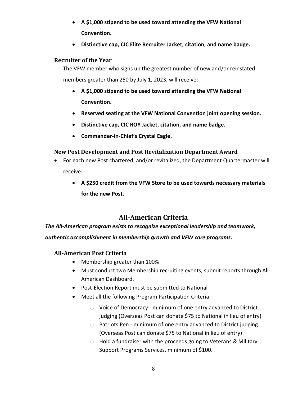- **A \$1,000 stipend to be used toward attending the VFW National Convention.**
- **Distinctive cap, CIC Elite Recruiter Jacket, citation, and name badge.**

## <span id="page-7-0"></span>**Recruiter of the Year**

The VFW member who signs up the greatest number of new and/or reinstated members greater than 250 by July 1, 2023, will receive:

- **A \$1,000 stipend to be used toward attending the VFW National Convention.**
- **Reserved seating at the VFW National Convention joint opening session.**
- **Distinctive cap, CIC ROY Jacket, citation, and name badge.**
- **Commander-in-Chief's Crystal Eagle.**

# <span id="page-7-1"></span>**New Post Development and Post Revitalization Department Award**

- For each new Post chartered, and/or revitalized, the Department Quartermaster will receive:
	- **A \$250 credit from the VFW Store to be used towards necessary materials for the new Post.**

# **All-American Criteria**

<span id="page-7-2"></span>*The All-American program exists to recognize exceptional leadership and teamwork,* 

<span id="page-7-3"></span>*authentic accomplishment in membership growth and VFW core programs.*

# **All-American Post Criteria**

- Membership greater than 100%
- Must conduct two Membership recruiting events, submit reports through All-American Dashboard.
- Post-Election Report must be submitted to National
- Meet all the following Program Participation Criteria:
	- o Voice of Democracy minimum of one entry advanced to District judging (Overseas Post can donate \$75 to National in lieu of entry)
	- o Patriots Pen minimum of one entry advanced to District judging (Overseas Post can donate \$75 to National in lieu of entry)
	- o Hold a fundraiser with the proceeds going to Veterans & Military Support Programs Services, minimum of \$100.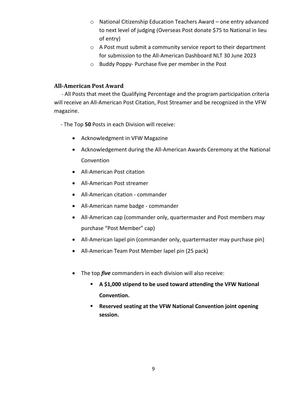- o National Citizenship Education Teachers Award one entry advanced to next level of judging (Overseas Post donate \$75 to National in lieu of entry)
- o A Post must submit a community service report to their department for submission to the All-American Dashboard NLT 30 June 2023
- o Buddy Poppy- Purchase five per member in the Post

# <span id="page-8-0"></span>**All-American Post Award**

 - All Posts that meet the Qualifying Percentage and the program participation criteria will receive an All-American Post Citation, Post Streamer and be recognized in the VFW magazine.

- The Top **50** Posts in each Division will receive:

- Acknowledgment in VFW Magazine
- Acknowledgement during the All-American Awards Ceremony at the National Convention
- All-American Post citation
- All-American Post streamer
- All-American citation commander
- All-American name badge commander
- All-American cap (commander only, quartermaster and Post members ma*y*  purchase "Post Member" cap)
- All-American lapel pin (commander only, quartermaster may purchase pin)
- All-American Team Post Member lapel pin (25 pack)
- The top *five* commanders in each division will also receive:
	- **A \$1,000 stipend to be used toward attending the VFW National Convention.**
	- **Reserved seating at the VFW National Convention joint opening session.**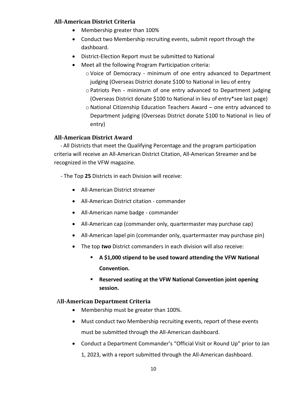## <span id="page-9-0"></span>**All-American District Criteria**

- Membership greater than 100%
- Conduct two Membership recruiting events, submit report through the dashboard.
- District-Election Report must be submitted to National
- Meet all the following Program Participation criteria:
	- oVoice of Democracy minimum of one entry advanced to Department judging (Overseas District donate \$100 to National in lieu of entry
	- oPatriots Pen minimum of one entry advanced to Department judging (Overseas District donate \$100 to National in lieu of entry\*see last page)
	- oNational Citizenship Education Teachers Award one entry advanced to Department judging (Overseas District donate \$100 to National in lieu of entry)

# <span id="page-9-1"></span>**All-American District Award**

 - All Districts that meet the Qualifying Percentage and the program participation criteria will receive an All-American District Citation, All-American Streamer and be recognized in the VFW magazine.

- The Top **25** Districts in each Division will receive:
	- All-American District streamer
	- All-American District citation commander
	- All-American name badge commander
	- All-American cap (commander only, quartermaster may purchase cap)
	- All-American lapel pin (commander only, quartermaster may purchase pin)
	- The top *two* District commanders in each division will also receive:
		- **A \$1,000 stipend to be used toward attending the VFW National Convention.**
		- **Reserved seating at the VFW National Convention joint opening session.**

# <span id="page-9-2"></span>A**ll-American Department Criteria**

- Membership must be greater than 100%.
- Must conduct two Membership recruiting events, report of these events must be submitted through the All-American dashboard.
- Conduct a Department Commander's "Official Visit or Round Up" prior to Jan 1, 2023, with a report submitted through the All-American dashboard.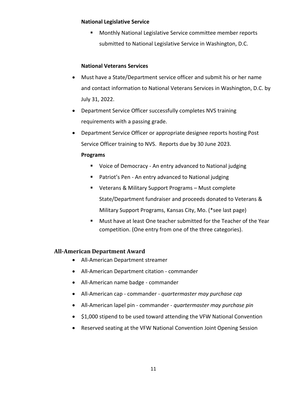#### **National Legislative Service**

■ Monthly National Legislative Service committee member reports submitted to National Legislative Service in Washington, D.C.

## **National Veterans Services**

- Must have a State/Department service officer and submit his or her name and contact information to National Veterans Services in Washington, D.C. by July 31, 2022.
- Department Service Officer successfully completes NVS training requirements with a passing grade.
- Department Service Officer or appropriate designee reports hosting Post Service Officer training to NVS. Reports due by 30 June 2023.

#### **Programs**

- Voice of Democracy An entry advanced to National judging
- Patriot's Pen An entry advanced to National judging
- Veterans & Military Support Programs Must complete State/Department fundraiser and proceeds donated to Veterans & Military Support Programs, Kansas City, Mo. (\*see last page)
- Must have at least One teacher submitted for the Teacher of the Year competition. (One entry from one of the three categories).

## <span id="page-10-0"></span>**All-American Department Award**

- All-American Department streamer
- All-American Department citation commander
- All-American name badge commander
- All-American cap commander *quartermaster may purchase cap*
- All-American lapel pin commander *quartermaster may purchase pin*
- \$1,000 stipend to be used toward attending the VFW National Convention
- Reserved seating at the VFW National Convention Joint Opening Session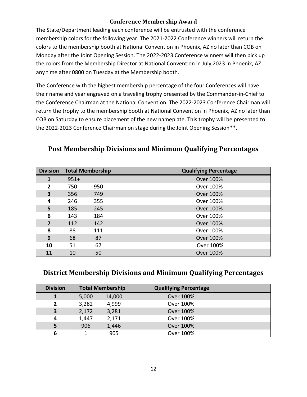# **Conference Membership Award**

<span id="page-11-0"></span>The State/Department leading each conference will be entrusted with the conference membership colors for the following year. The 2021-2022 Conference winners will return the colors to the membership booth at National Convention in Phoenix, AZ no later than COB on Monday after the Joint Opening Session. The 2022-2023 Conference winners will then pick up the colors from the Membership Director at National Convention in July 2023 in Phoenix, AZ any time after 0800 on Tuesday at the Membership booth.

The Conference with the highest membership percentage of the four Conferences will have their name and year engraved on a traveling trophy presented by the Commander-in-Chief to the Conference Chairman at the National Convention. The 2022-2023 Conference Chairman will return the trophy to the membership booth at National Convention in Phoenix, AZ no later than COB on Saturday to ensure placement of the new nameplate. This trophy will be presented to the 2022-2023 Conference Chairman on stage during the Joint Opening Session\*\*.

| <b>Division</b> |        | <b>Total Membership</b> | <b>Qualifying Percentage</b> |
|-----------------|--------|-------------------------|------------------------------|
| $\mathbf{1}$    | $951+$ |                         | Over 100%                    |
| 2               | 750    | 950                     | Over 100%                    |
| 3               | 356    | 749                     | Over 100%                    |
| 4               | 246    | 355                     | Over 100%                    |
| 5               | 185    | 245                     | Over 100%                    |
| 6               | 143    | 184                     | Over 100%                    |
| 7               | 112    | 142                     | Over 100%                    |
| 8               | 88     | 111                     | Over 100%                    |
| 9               | 68     | 87                      | Over 100%                    |
| 10              | 51     | 67                      | Over 100%                    |
| 11              | 10     | 50                      | Over 100%                    |

# <span id="page-11-1"></span>**Post Membership Divisions and Minimum Qualifying Percentages**

# <span id="page-11-2"></span>**District Membership Divisions and Minimum Qualifying Percentages**

| <b>Division</b> |       | <b>Total Membership</b> | <b>Qualifying Percentage</b> |
|-----------------|-------|-------------------------|------------------------------|
|                 | 5,000 | 14,000                  | Over 100%                    |
| 2               | 3,282 | 4,999                   | Over 100%                    |
| 3               | 2,172 | 3,281                   | Over 100%                    |
| 4               | 1,447 | 2,171                   | Over 100%                    |
|                 | 906   | 1,446                   | Over 100%                    |
| 6               |       | 905                     | Over 100%                    |